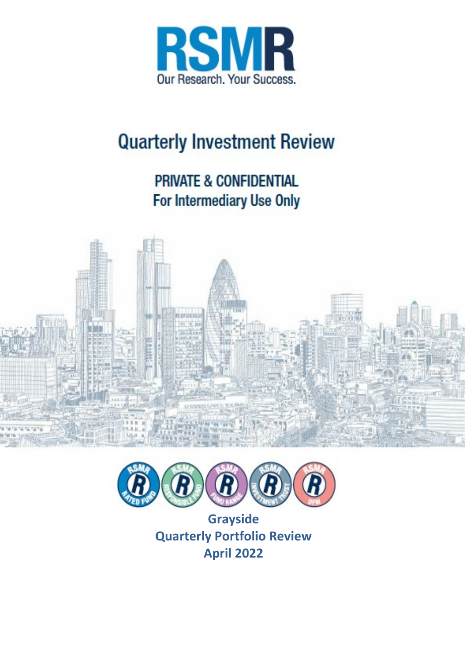

# **Quarterly Investment Review**

## **PRIVATE & CONFIDENTIAL** For Intermediary Use Only





**Grayside Quarterly Portfolio Review April 2022**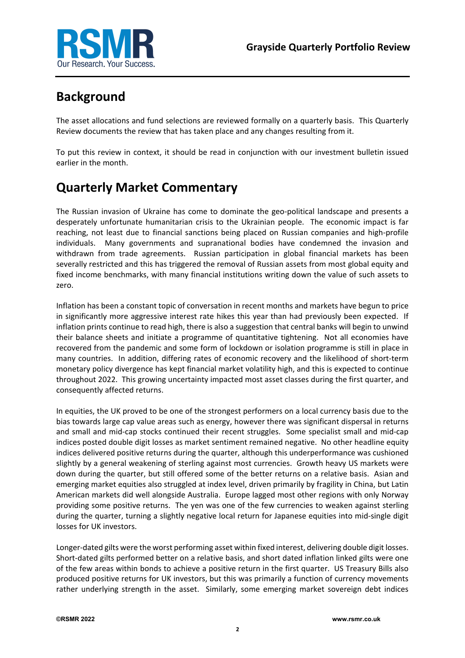

### **Background**

The asset allocations and fund selections are reviewed formally on a quarterly basis. This Quarterly Review documents the review that has taken place and any changes resulting from it.

To put this review in context, it should be read in conjunction with our investment bulletin issued earlier in the month.

### **Quarterly Market Commentary**

The Russian invasion of Ukraine has come to dominate the geo-political landscape and presents a desperately unfortunate humanitarian crisis to the Ukrainian people. The economic impact is far reaching, not least due to financial sanctions being placed on Russian companies and high-profile individuals. Many governments and supranational bodies have condemned the invasion and withdrawn from trade agreements. Russian participation in global financial markets has been severally restricted and this has triggered the removal of Russian assets from most global equity and fixed income benchmarks, with many financial institutions writing down the value of such assets to zero.

Inflation has been a constant topic of conversation in recent months and markets have begun to price in significantly more aggressive interest rate hikes this year than had previously been expected. If inflation prints continue to read high, there is also a suggestion that central banks will begin to unwind their balance sheets and initiate a programme of quantitative tightening. Not all economies have recovered from the pandemic and some form of lockdown or isolation programme is still in place in many countries. In addition, differing rates of economic recovery and the likelihood of short-term monetary policy divergence has kept financial market volatility high, and this is expected to continue throughout 2022. This growing uncertainty impacted most asset classes during the first quarter, and consequently affected returns.

In equities, the UK proved to be one of the strongest performers on a local currency basis due to the bias towards large cap value areas such as energy, however there was significant dispersal in returns and small and mid-cap stocks continued their recent struggles. Some specialist small and mid-cap indices posted double digit losses as market sentiment remained negative. No other headline equity indices delivered positive returns during the quarter, although this underperformance was cushioned slightly by a general weakening of sterling against most currencies. Growth heavy US markets were down during the quarter, but still offered some of the better returns on a relative basis. Asian and emerging market equities also struggled at index level, driven primarily by fragility in China, but Latin American markets did well alongside Australia. Europe lagged most other regions with only Norway providing some positive returns. The yen was one of the few currencies to weaken against sterling during the quarter, turning a slightly negative local return for Japanese equities into mid-single digit losses for UK investors.

Longer-dated gilts were the worst performing asset within fixed interest, delivering double digit losses. Short-dated gilts performed better on a relative basis, and short dated inflation linked gilts were one of the few areas within bonds to achieve a positive return in the first quarter. US Treasury Bills also produced positive returns for UK investors, but this was primarily a function of currency movements rather underlying strength in the asset. Similarly, some emerging market sovereign debt indices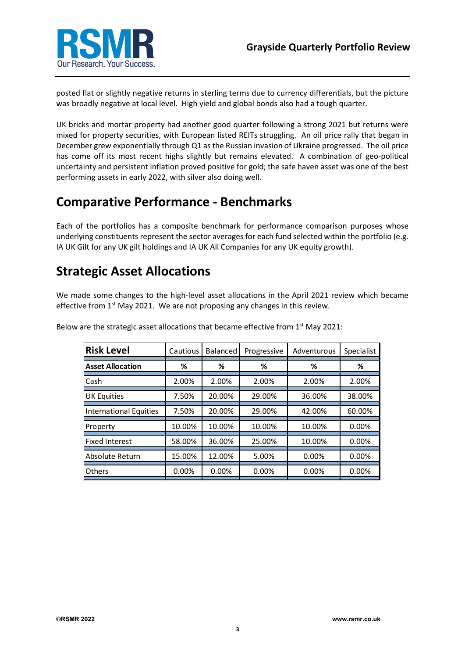

posted flat or slightly negative returns in sterling terms due to currency differentials, but the picture was broadly negative at local level. High yield and global bonds also had a tough quarter.

UK bricks and mortar property had another good quarter following a strong 2021 but returns were mixed for property securities, with European listed REITs struggling. An oil price rally that began in December grew exponentially through Q1 as the Russian invasion of Ukraine progressed. The oil price has come off its most recent highs slightly but remains elevated. A combination of geo-political uncertainty and persistent inflation proved positive for gold; the safe haven asset was one of the best performing assets in early 2022, with silver also doing well.

### **Comparative Performance - Benchmarks**

Each of the portfolios has a composite benchmark for performance comparison purposes whose underlying constituents represent the sector averages for each fund selected within the portfolio (e.g. IA UK Gilt for any UK gilt holdings and IA UK All Companies for any UK equity growth).

### **Strategic Asset Allocations**

We made some changes to the high-level asset allocations in the April 2021 review which became effective from 1<sup>st</sup> May 2021. We are not proposing any changes in this review.

| <b>Risk Level</b>             | Cautious | Balanced | Progressive | Adventurous | Specialist |
|-------------------------------|----------|----------|-------------|-------------|------------|
| <b>Asset Allocation</b>       | ℅        | ℅        | ℅           | ℅           | %          |
| Cash                          | 2.00%    | 2.00%    | 2.00%       | 2.00%       | 2.00%      |
| <b>UK Equities</b>            | 7.50%    | 20.00%   | 29.00%      | 36.00%      | 38.00%     |
| <b>International Equities</b> | 7.50%    | 20.00%   | 29.00%      | 42.00%      | 60.00%     |
| Property                      | 10.00%   | 10.00%   | 10.00%      | 10.00%      | 0.00%      |
| <b>Fixed Interest</b>         | 58.00%   | 36.00%   | 25.00%      | 10.00%      | 0.00%      |
| Absolute Return               | 15.00%   | 12.00%   | 5.00%       | 0.00%       | 0.00%      |
| <b>Others</b>                 | 0.00%    | 0.00%    | 0.00%       | 0.00%       | 0.00%      |

Below are the strategic asset allocations that became effective from  $1<sup>st</sup>$  May 2021: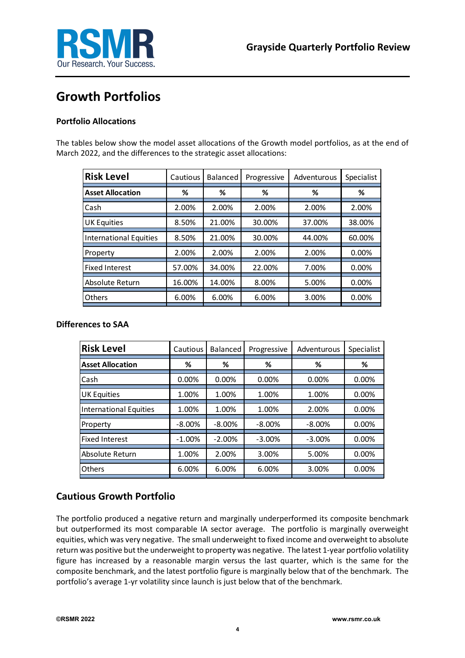



### **Growth Portfolios**

#### **Portfolio Allocations**

The tables below show the model asset allocations of the Growth model portfolios, as at the end of March 2022, and the differences to the strategic asset allocations:

| <b>Risk Level</b>             | Cautious | <b>Balanced</b> | Progressive | Adventurous | Specialist |
|-------------------------------|----------|-----------------|-------------|-------------|------------|
| <b>Asset Allocation</b>       | ℅        | ℅               | %           | ℅           | ℅          |
| Cash                          | 2.00%    | 2.00%           | 2.00%       | 2.00%       | 2.00%      |
| <b>UK Equities</b>            | 8.50%    | 21.00%          | 30.00%      | 37.00%      | 38.00%     |
| <b>International Equities</b> | 8.50%    | 21.00%          | 30.00%      | 44.00%      | 60.00%     |
| Property                      | 2.00%    | 2.00%           | 2.00%       | 2.00%       | 0.00%      |
| <b>Fixed Interest</b>         | 57.00%   | 34.00%          | 22.00%      | 7.00%       | 0.00%      |
| Absolute Return               | 16.00%   | 14.00%          | 8.00%       | 5.00%       | 0.00%      |
| <b>Others</b>                 | 6.00%    | 6.00%           | 6.00%       | 3.00%       | 0.00%      |

#### **Differences to SAA**

| <b>Risk Level</b>             | Cautious  | <b>Balanced</b> | Progressive | Adventurous | Specialist |
|-------------------------------|-----------|-----------------|-------------|-------------|------------|
| <b>Asset Allocation</b>       | ℅         | ℅               | ℅           | ℅           | %          |
| Cash                          | 0.00%     | 0.00%           | 0.00%       | 0.00%       | 0.00%      |
| <b>UK Equities</b>            | 1.00%     | 1.00%           | 1.00%       | 1.00%       | 0.00%      |
| <b>International Equities</b> | 1.00%     | 1.00%           | 1.00%       | 2.00%       | 0.00%      |
| Property                      | $-8.00\%$ | $-8.00\%$       | $-8.00\%$   | $-8.00\%$   | 0.00%      |
| <b>Fixed Interest</b>         | $-1.00%$  | $-2.00%$        | $-3.00%$    | $-3.00%$    | 0.00%      |
| Absolute Return               | 1.00%     | 2.00%           | 3.00%       | 5.00%       | 0.00%      |
| Others                        | 6.00%     | 6.00%           | 6.00%       | 3.00%       | 0.00%      |

#### **Cautious Growth Portfolio**

The portfolio produced a negative return and marginally underperformed its composite benchmark but outperformed its most comparable IA sector average. The portfolio is marginally overweight equities, which was very negative. The small underweight to fixed income and overweight to absolute return was positive but the underweight to property was negative. The latest 1-year portfolio volatility figure has increased by a reasonable margin versus the last quarter, which is the same for the composite benchmark, and the latest portfolio figure is marginally below that of the benchmark. The portfolio's average 1-yr volatility since launch is just below that of the benchmark.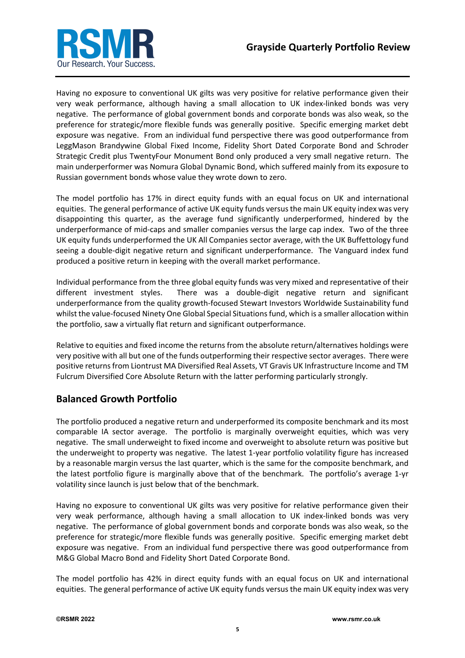

Having no exposure to conventional UK gilts was very positive for relative performance given their very weak performance, although having a small allocation to UK index-linked bonds was very negative. The performance of global government bonds and corporate bonds was also weak, so the preference for strategic/more flexible funds was generally positive. Specific emerging market debt exposure was negative. From an individual fund perspective there was good outperformance from LeggMason Brandywine Global Fixed Income, Fidelity Short Dated Corporate Bond and Schroder Strategic Credit plus TwentyFour Monument Bond only produced a very small negative return. The main underperformer was Nomura Global Dynamic Bond, which suffered mainly from its exposure to Russian government bonds whose value they wrote down to zero.

The model portfolio has 17% in direct equity funds with an equal focus on UK and international equities. The general performance of active UK equity funds versus the main UK equity index was very disappointing this quarter, as the average fund significantly underperformed, hindered by the underperformance of mid-caps and smaller companies versus the large cap index. Two of the three UK equity funds underperformed the UK All Companies sector average, with the UK Buffettology fund seeing a double-digit negative return and significant underperformance. The Vanguard index fund produced a positive return in keeping with the overall market performance.

Individual performance from the three global equity funds was very mixed and representative of their different investment styles. There was a double-digit negative return and significant underperformance from the quality growth-focused Stewart Investors Worldwide Sustainability fund whilst the value-focused Ninety One Global Special Situations fund, which is a smaller allocation within the portfolio, saw a virtually flat return and significant outperformance.

Relative to equities and fixed income the returns from the absolute return/alternatives holdings were very positive with all but one of the funds outperforming their respective sector averages. There were positive returns from Liontrust MA Diversified Real Assets, VT Gravis UK Infrastructure Income and TM Fulcrum Diversified Core Absolute Return with the latter performing particularly strongly.

#### **Balanced Growth Portfolio**

The portfolio produced a negative return and underperformed its composite benchmark and its most comparable IA sector average. The portfolio is marginally overweight equities, which was very negative. The small underweight to fixed income and overweight to absolute return was positive but the underweight to property was negative. The latest 1-year portfolio volatility figure has increased by a reasonable margin versus the last quarter, which is the same for the composite benchmark, and the latest portfolio figure is marginally above that of the benchmark. The portfolio's average 1-yr volatility since launch is just below that of the benchmark.

Having no exposure to conventional UK gilts was very positive for relative performance given their very weak performance, although having a small allocation to UK index-linked bonds was very negative. The performance of global government bonds and corporate bonds was also weak, so the preference for strategic/more flexible funds was generally positive. Specific emerging market debt exposure was negative. From an individual fund perspective there was good outperformance from M&G Global Macro Bond and Fidelity Short Dated Corporate Bond.

The model portfolio has 42% in direct equity funds with an equal focus on UK and international equities. The general performance of active UK equity funds versus the main UK equity index was very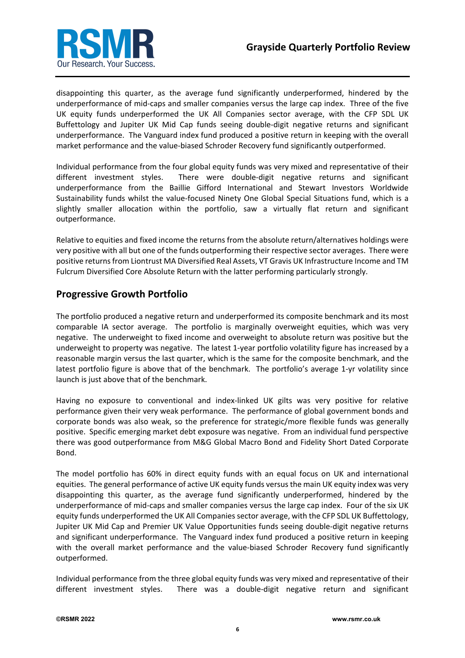

disappointing this quarter, as the average fund significantly underperformed, hindered by the underperformance of mid-caps and smaller companies versus the large cap index. Three of the five UK equity funds underperformed the UK All Companies sector average, with the CFP SDL UK Buffettology and Jupiter UK Mid Cap funds seeing double-digit negative returns and significant underperformance. The Vanguard index fund produced a positive return in keeping with the overall market performance and the value-biased Schroder Recovery fund significantly outperformed.

Individual performance from the four global equity funds was very mixed and representative of their different investment styles. There were double-digit negative returns and significant underperformance from the Baillie Gifford International and Stewart Investors Worldwide Sustainability funds whilst the value-focused Ninety One Global Special Situations fund, which is a slightly smaller allocation within the portfolio, saw a virtually flat return and significant outperformance.

Relative to equities and fixed income the returns from the absolute return/alternatives holdings were very positive with all but one of the funds outperforming their respective sector averages. There were positive returns from Liontrust MA Diversified Real Assets, VT Gravis UK Infrastructure Income and TM Fulcrum Diversified Core Absolute Return with the latter performing particularly strongly.

#### **Progressive Growth Portfolio**

The portfolio produced a negative return and underperformed its composite benchmark and its most comparable IA sector average. The portfolio is marginally overweight equities, which was very negative. The underweight to fixed income and overweight to absolute return was positive but the underweight to property was negative. The latest 1-year portfolio volatility figure has increased by a reasonable margin versus the last quarter, which is the same for the composite benchmark, and the latest portfolio figure is above that of the benchmark. The portfolio's average 1-yr volatility since launch is just above that of the benchmark.

Having no exposure to conventional and index-linked UK gilts was very positive for relative performance given their very weak performance. The performance of global government bonds and corporate bonds was also weak, so the preference for strategic/more flexible funds was generally positive. Specific emerging market debt exposure was negative. From an individual fund perspective there was good outperformance from M&G Global Macro Bond and Fidelity Short Dated Corporate Bond.

The model portfolio has 60% in direct equity funds with an equal focus on UK and international equities. The general performance of active UK equity funds versus the main UK equity index was very disappointing this quarter, as the average fund significantly underperformed, hindered by the underperformance of mid-caps and smaller companies versus the large cap index. Four of the six UK equity funds underperformed the UK All Companies sector average, with the CFP SDL UK Buffettology, Jupiter UK Mid Cap and Premier UK Value Opportunities funds seeing double-digit negative returns and significant underperformance. The Vanguard index fund produced a positive return in keeping with the overall market performance and the value-biased Schroder Recovery fund significantly outperformed.

Individual performance from the three global equity funds was very mixed and representative of their different investment styles. There was a double-digit negative return and significant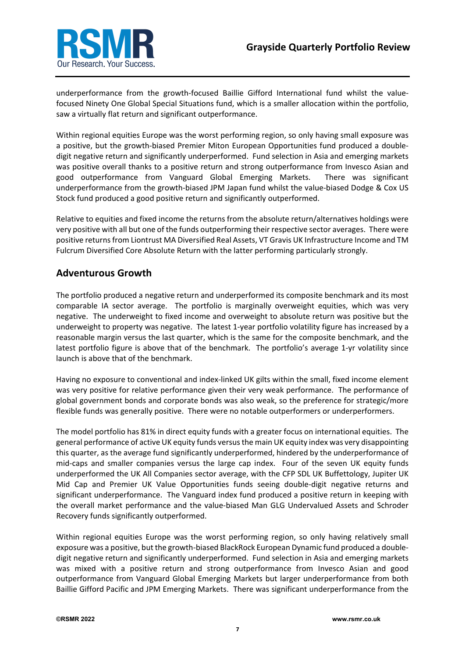

underperformance from the growth-focused Baillie Gifford International fund whilst the valuefocused Ninety One Global Special Situations fund, which is a smaller allocation within the portfolio, saw a virtually flat return and significant outperformance.

Within regional equities Europe was the worst performing region, so only having small exposure was a positive, but the growth-biased Premier Miton European Opportunities fund produced a doubledigit negative return and significantly underperformed. Fund selection in Asia and emerging markets was positive overall thanks to a positive return and strong outperformance from Invesco Asian and good outperformance from Vanguard Global Emerging Markets. There was significant underperformance from the growth-biased JPM Japan fund whilst the value-biased Dodge & Cox US Stock fund produced a good positive return and significantly outperformed.

Relative to equities and fixed income the returns from the absolute return/alternatives holdings were very positive with all but one of the funds outperforming their respective sector averages. There were positive returns from Liontrust MA Diversified Real Assets, VT Gravis UK Infrastructure Income and TM Fulcrum Diversified Core Absolute Return with the latter performing particularly strongly.

#### **Adventurous Growth**

The portfolio produced a negative return and underperformed its composite benchmark and its most comparable IA sector average. The portfolio is marginally overweight equities, which was very negative. The underweight to fixed income and overweight to absolute return was positive but the underweight to property was negative. The latest 1-year portfolio volatility figure has increased by a reasonable margin versus the last quarter, which is the same for the composite benchmark, and the latest portfolio figure is above that of the benchmark. The portfolio's average 1-yr volatility since launch is above that of the benchmark.

Having no exposure to conventional and index-linked UK gilts within the small, fixed income element was very positive for relative performance given their very weak performance. The performance of global government bonds and corporate bonds was also weak, so the preference for strategic/more flexible funds was generally positive. There were no notable outperformers or underperformers.

The model portfolio has 81% in direct equity funds with a greater focus on international equities. The general performance of active UK equity funds versus the main UK equity index was very disappointing this quarter, as the average fund significantly underperformed, hindered by the underperformance of mid-caps and smaller companies versus the large cap index. Four of the seven UK equity funds underperformed the UK All Companies sector average, with the CFP SDL UK Buffettology, Jupiter UK Mid Cap and Premier UK Value Opportunities funds seeing double-digit negative returns and significant underperformance. The Vanguard index fund produced a positive return in keeping with the overall market performance and the value-biased Man GLG Undervalued Assets and Schroder Recovery funds significantly outperformed.

Within regional equities Europe was the worst performing region, so only having relatively small exposure was a positive, but the growth-biased BlackRock European Dynamic fund produced a doubledigit negative return and significantly underperformed. Fund selection in Asia and emerging markets was mixed with a positive return and strong outperformance from Invesco Asian and good outperformance from Vanguard Global Emerging Markets but larger underperformance from both Baillie Gifford Pacific and JPM Emerging Markets. There was significant underperformance from the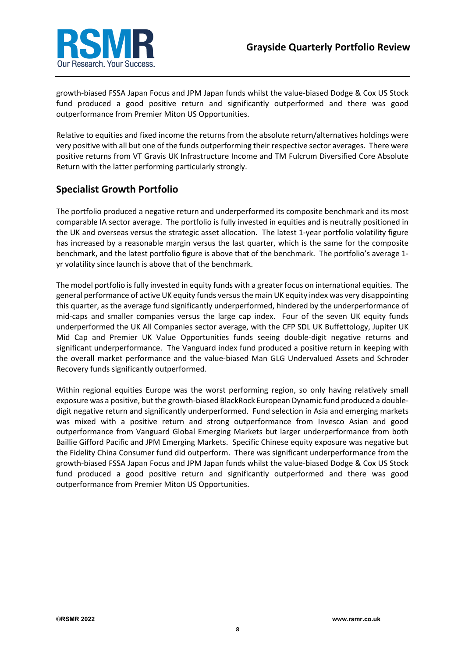

growth-biased FSSA Japan Focus and JPM Japan funds whilst the value-biased Dodge & Cox US Stock fund produced a good positive return and significantly outperformed and there was good outperformance from Premier Miton US Opportunities.

Relative to equities and fixed income the returns from the absolute return/alternatives holdings were very positive with all but one of the funds outperforming their respective sector averages. There were positive returns from VT Gravis UK Infrastructure Income and TM Fulcrum Diversified Core Absolute Return with the latter performing particularly strongly.

#### **Specialist Growth Portfolio**

The portfolio produced a negative return and underperformed its composite benchmark and its most comparable IA sector average. The portfolio is fully invested in equities and is neutrally positioned in the UK and overseas versus the strategic asset allocation. The latest 1-year portfolio volatility figure has increased by a reasonable margin versus the last quarter, which is the same for the composite benchmark, and the latest portfolio figure is above that of the benchmark. The portfolio's average 1 yr volatility since launch is above that of the benchmark.

The model portfolio is fully invested in equity funds with a greater focus on international equities. The general performance of active UK equity funds versus the main UK equity index was very disappointing this quarter, as the average fund significantly underperformed, hindered by the underperformance of mid-caps and smaller companies versus the large cap index. Four of the seven UK equity funds underperformed the UK All Companies sector average, with the CFP SDL UK Buffettology, Jupiter UK Mid Cap and Premier UK Value Opportunities funds seeing double-digit negative returns and significant underperformance. The Vanguard index fund produced a positive return in keeping with the overall market performance and the value-biased Man GLG Undervalued Assets and Schroder Recovery funds significantly outperformed.

Within regional equities Europe was the worst performing region, so only having relatively small exposure was a positive, but the growth-biased BlackRock European Dynamic fund produced a doubledigit negative return and significantly underperformed. Fund selection in Asia and emerging markets was mixed with a positive return and strong outperformance from Invesco Asian and good outperformance from Vanguard Global Emerging Markets but larger underperformance from both Baillie Gifford Pacific and JPM Emerging Markets. Specific Chinese equity exposure was negative but the Fidelity China Consumer fund did outperform. There was significant underperformance from the growth-biased FSSA Japan Focus and JPM Japan funds whilst the value-biased Dodge & Cox US Stock fund produced a good positive return and significantly outperformed and there was good outperformance from Premier Miton US Opportunities.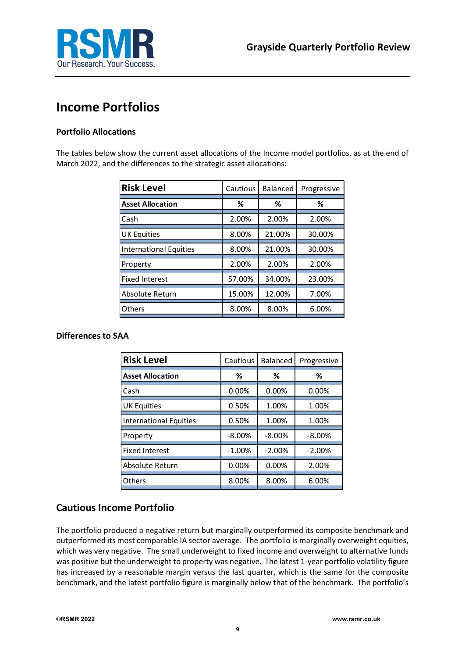

### **Income Portfolios**

#### **Portfolio Allocations**

The tables below show the current asset allocations of the Income model portfolios, as at the end of March 2022, and the differences to the strategic asset allocations:

| <b>Risk Level</b>             | Cautious | <b>Balanced</b> | Progressive |
|-------------------------------|----------|-----------------|-------------|
| <b>Asset Allocation</b>       | ℅        | %               | ℅           |
| Cash                          | 2.00%    | 2.00%           | 2.00%       |
| <b>UK Equities</b>            | 8.00%    | 21.00%          | 30.00%      |
| <b>International Equities</b> | 8.00%    | 21.00%          | 30.00%      |
| Property                      | 2.00%    | 2.00%           | 2.00%       |
| <b>Fixed Interest</b>         | 57.00%   | 34.00%          | 23.00%      |
| Absolute Return               | 15.00%   | 12.00%          | 7.00%       |
| <b>Others</b>                 | 8.00%    | 8.00%           | 6.00%       |

#### **Differences to SAA**

| <b>Risk Level</b>             | Cautious  | <b>Balanced</b> | Progressive |
|-------------------------------|-----------|-----------------|-------------|
| <b>Asset Allocation</b>       | ℅         | ℅               | ℅           |
| Cash                          | 0.00%     | 0.00%           | 0.00%       |
| <b>UK Equities</b>            | 0.50%     | 1.00%           | 1.00%       |
| <b>International Equities</b> | 0.50%     | 1.00%           | 1.00%       |
| Property                      | $-8.00\%$ | $-8.00%$        | $-8.00\%$   |
| <b>Fixed Interest</b>         | $-1.00%$  | $-2.00%$        | $-2.00%$    |
| Absolute Return               | 0.00%     | 0.00%           | 2.00%       |
| Others                        | 8.00%     | 8.00%           | 6.00%       |

#### **Cautious Income Portfolio**

The portfolio produced a negative return but marginally outperformed its composite benchmark and outperformed its most comparable IA sector average. The portfolio is marginally overweight equities, which was very negative. The small underweight to fixed income and overweight to alternative funds was positive but the underweight to property was negative. The latest 1-year portfolio volatility figure has increased by a reasonable margin versus the last quarter, which is the same for the composite benchmark, and the latest portfolio figure is marginally below that of the benchmark. The portfolio's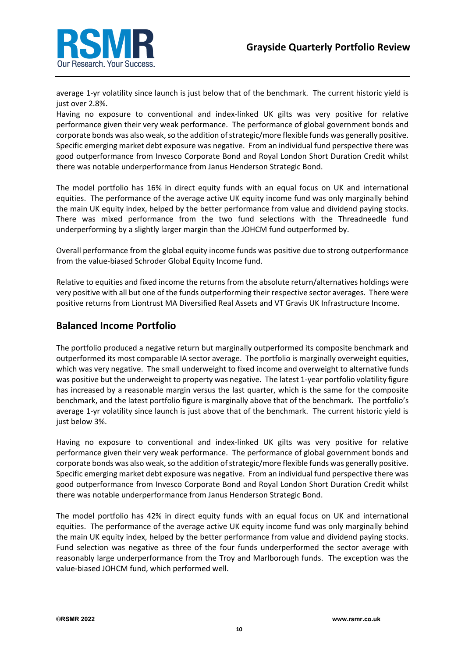

average 1-yr volatility since launch is just below that of the benchmark. The current historic yield is just over 2.8%.

Having no exposure to conventional and index-linked UK gilts was very positive for relative performance given their very weak performance. The performance of global government bonds and corporate bonds was also weak, so the addition of strategic/more flexible funds was generally positive. Specific emerging market debt exposure was negative. From an individual fund perspective there was good outperformance from Invesco Corporate Bond and Royal London Short Duration Credit whilst there was notable underperformance from Janus Henderson Strategic Bond.

The model portfolio has 16% in direct equity funds with an equal focus on UK and international equities. The performance of the average active UK equity income fund was only marginally behind the main UK equity index, helped by the better performance from value and dividend paying stocks. There was mixed performance from the two fund selections with the Threadneedle fund underperforming by a slightly larger margin than the JOHCM fund outperformed by.

Overall performance from the global equity income funds was positive due to strong outperformance from the value-biased Schroder Global Equity Income fund.

Relative to equities and fixed income the returns from the absolute return/alternatives holdings were very positive with all but one of the funds outperforming their respective sector averages. There were positive returns from Liontrust MA Diversified Real Assets and VT Gravis UK Infrastructure Income.

#### **Balanced Income Portfolio**

The portfolio produced a negative return but marginally outperformed its composite benchmark and outperformed its most comparable IA sector average. The portfolio is marginally overweight equities, which was very negative. The small underweight to fixed income and overweight to alternative funds was positive but the underweight to property was negative. The latest 1-year portfolio volatility figure has increased by a reasonable margin versus the last quarter, which is the same for the composite benchmark, and the latest portfolio figure is marginally above that of the benchmark. The portfolio's average 1-yr volatility since launch is just above that of the benchmark. The current historic yield is just below 3%.

Having no exposure to conventional and index-linked UK gilts was very positive for relative performance given their very weak performance. The performance of global government bonds and corporate bonds was also weak, so the addition of strategic/more flexible funds was generally positive. Specific emerging market debt exposure was negative. From an individual fund perspective there was good outperformance from Invesco Corporate Bond and Royal London Short Duration Credit whilst there was notable underperformance from Janus Henderson Strategic Bond.

The model portfolio has 42% in direct equity funds with an equal focus on UK and international equities. The performance of the average active UK equity income fund was only marginally behind the main UK equity index, helped by the better performance from value and dividend paying stocks. Fund selection was negative as three of the four funds underperformed the sector average with reasonably large underperformance from the Troy and Marlborough funds. The exception was the value-biased JOHCM fund, which performed well.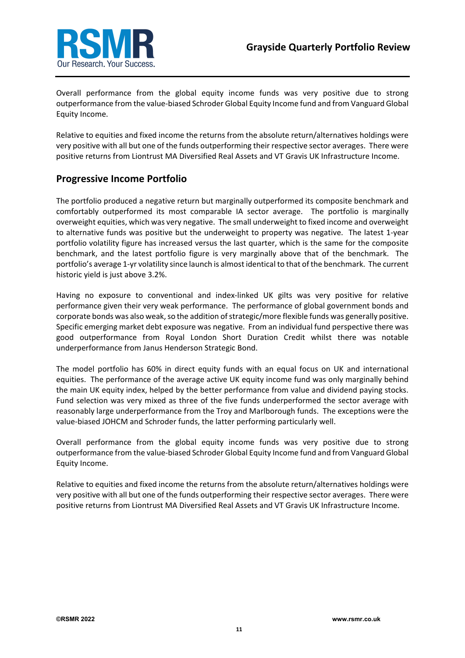

Overall performance from the global equity income funds was very positive due to strong outperformance from the value-biased Schroder Global Equity Income fund and from Vanguard Global Equity Income.

Relative to equities and fixed income the returns from the absolute return/alternatives holdings were very positive with all but one of the funds outperforming their respective sector averages. There were positive returns from Liontrust MA Diversified Real Assets and VT Gravis UK Infrastructure Income.

#### **Progressive Income Portfolio**

The portfolio produced a negative return but marginally outperformed its composite benchmark and comfortably outperformed its most comparable IA sector average. The portfolio is marginally overweight equities, which was very negative. The small underweight to fixed income and overweight to alternative funds was positive but the underweight to property was negative. The latest 1-year portfolio volatility figure has increased versus the last quarter, which is the same for the composite benchmark, and the latest portfolio figure is very marginally above that of the benchmark. The portfolio's average 1-yr volatility since launch is almost identical to that of the benchmark. The current historic yield is just above 3.2%.

Having no exposure to conventional and index-linked UK gilts was very positive for relative performance given their very weak performance. The performance of global government bonds and corporate bonds was also weak, so the addition of strategic/more flexible funds was generally positive. Specific emerging market debt exposure was negative. From an individual fund perspective there was good outperformance from Royal London Short Duration Credit whilst there was notable underperformance from Janus Henderson Strategic Bond.

The model portfolio has 60% in direct equity funds with an equal focus on UK and international equities. The performance of the average active UK equity income fund was only marginally behind the main UK equity index, helped by the better performance from value and dividend paying stocks. Fund selection was very mixed as three of the five funds underperformed the sector average with reasonably large underperformance from the Troy and Marlborough funds. The exceptions were the value-biased JOHCM and Schroder funds, the latter performing particularly well.

Overall performance from the global equity income funds was very positive due to strong outperformance from the value-biased Schroder Global Equity Income fund and from Vanguard Global Equity Income.

Relative to equities and fixed income the returns from the absolute return/alternatives holdings were very positive with all but one of the funds outperforming their respective sector averages. There were positive returns from Liontrust MA Diversified Real Assets and VT Gravis UK Infrastructure Income.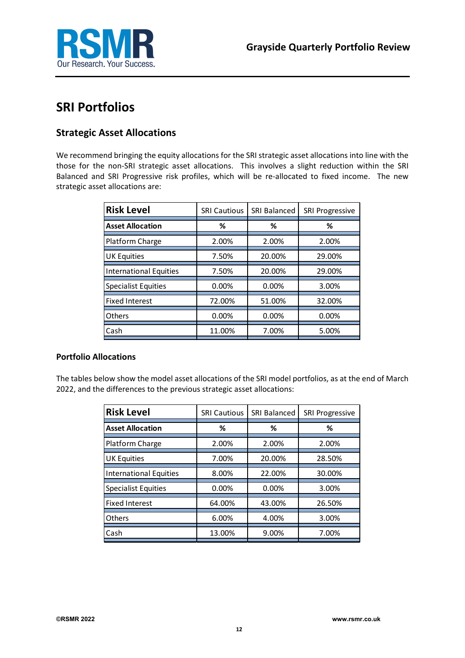

### **SRI Portfolios**

#### **Strategic Asset Allocations**

We recommend bringing the equity allocations for the SRI strategic asset allocations into line with the those for the non-SRI strategic asset allocations. This involves a slight reduction within the SRI Balanced and SRI Progressive risk profiles, which will be re-allocated to fixed income. The new strategic asset allocations are:

| <b>Risk Level</b>             | <b>SRI Cautious</b> | <b>SRI Balanced</b> | <b>SRI Progressive</b> |
|-------------------------------|---------------------|---------------------|------------------------|
| <b>Asset Allocation</b>       | ℅                   | ℅                   | ℅                      |
| Platform Charge               | 2.00%               | 2.00%               | 2.00%                  |
| <b>UK Equities</b>            | 7.50%               | 20.00%              | 29.00%                 |
| <b>International Equities</b> | 7.50%               | 20.00%              | 29.00%                 |
| <b>Specialist Equities</b>    | 0.00%               | 0.00%               | 3.00%                  |
| <b>Fixed Interest</b>         | 72.00%              | 51.00%              | 32.00%                 |
| <b>Others</b>                 | 0.00%               | 0.00%               | 0.00%                  |
| Cash                          | 11.00%              | 7.00%               | 5.00%                  |

#### **Portfolio Allocations**

The tables below show the model asset allocations of the SRI model portfolios, as at the end of March 2022, and the differences to the previous strategic asset allocations:

| <b>Risk Level</b>             | <b>SRI Cautious</b> | <b>SRI Balanced</b> | <b>SRI Progressive</b> |
|-------------------------------|---------------------|---------------------|------------------------|
| <b>Asset Allocation</b>       | %                   | %                   | %                      |
| Platform Charge               | 2.00%               | 2.00%               | 2.00%                  |
| <b>UK Equities</b>            | 7.00%               | 20.00%              | 28.50%                 |
| <b>International Equities</b> | 8.00%               | 22.00%              | 30.00%                 |
| <b>Specialist Equities</b>    | 0.00%               | 0.00%               | 3.00%                  |
| <b>Fixed Interest</b>         | 64.00%              | 43.00%              | 26.50%                 |
| Others                        | 6.00%               | 4.00%               | 3.00%                  |
| Cash                          | 13.00%              | 9.00%               | 7.00%                  |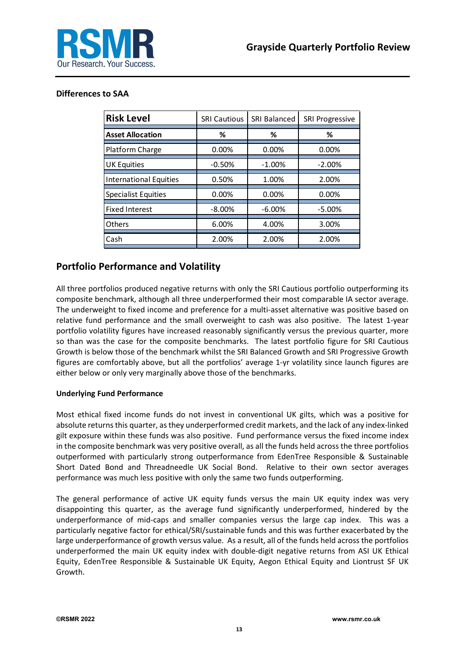

#### **Differences to SAA**

| <b>Risk Level</b>             | <b>SRI Cautious</b> | <b>SRI Balanced</b> | <b>SRI Progressive</b> |
|-------------------------------|---------------------|---------------------|------------------------|
| <b>Asset Allocation</b>       | %                   | ℅                   | %                      |
| Platform Charge               | 0.00%               | 0.00%               | 0.00%                  |
| <b>UK Equities</b>            | $-0.50%$            | $-1.00%$            | $-2.00%$               |
| <b>International Equities</b> | 0.50%               | 1.00%               | 2.00%                  |
| <b>Specialist Equities</b>    | 0.00%               | 0.00%               | 0.00%                  |
| <b>Fixed Interest</b>         | $-8.00\%$           | $-6.00%$            | $-5.00%$               |
| <b>Others</b>                 | 6.00%               | 4.00%               | 3.00%                  |
| Cash                          | 2.00%               | 2.00%               | 2.00%                  |

#### **Portfolio Performance and Volatility**

All three portfolios produced negative returns with only the SRI Cautious portfolio outperforming its composite benchmark, although all three underperformed their most comparable IA sector average. The underweight to fixed income and preference for a multi-asset alternative was positive based on relative fund performance and the small overweight to cash was also positive. The latest 1-year portfolio volatility figures have increased reasonably significantly versus the previous quarter, more so than was the case for the composite benchmarks. The latest portfolio figure for SRI Cautious Growth is below those of the benchmark whilst the SRI Balanced Growth and SRI Progressive Growth figures are comfortably above, but all the portfolios' average 1-yr volatility since launch figures are either below or only very marginally above those of the benchmarks.

#### **Underlying Fund Performance**

Most ethical fixed income funds do not invest in conventional UK gilts, which was a positive for absolute returns this quarter, as they underperformed credit markets, and the lack of any index-linked gilt exposure within these funds was also positive. Fund performance versus the fixed income index in the composite benchmark was very positive overall, as all the funds held across the three portfolios outperformed with particularly strong outperformance from EdenTree Responsible & Sustainable Short Dated Bond and Threadneedle UK Social Bond. Relative to their own sector averages performance was much less positive with only the same two funds outperforming.

The general performance of active UK equity funds versus the main UK equity index was very disappointing this quarter, as the average fund significantly underperformed, hindered by the underperformance of mid-caps and smaller companies versus the large cap index. This was a particularly negative factor for ethical/SRI/sustainable funds and this was further exacerbated by the large underperformance of growth versus value. As a result, all of the funds held across the portfolios underperformed the main UK equity index with double-digit negative returns from ASI UK Ethical Equity, EdenTree Responsible & Sustainable UK Equity, Aegon Ethical Equity and Liontrust SF UK Growth.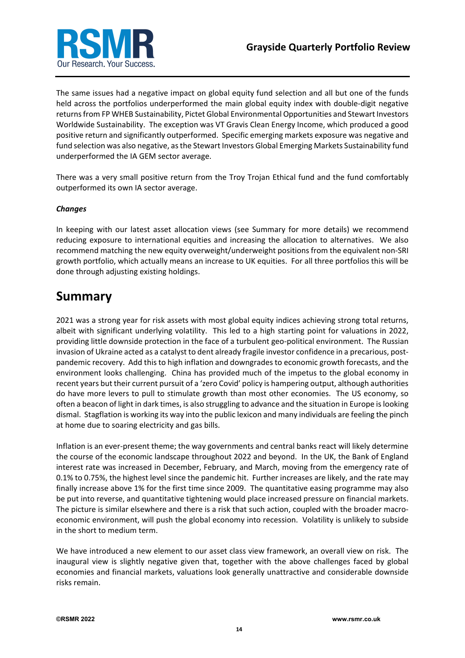

The same issues had a negative impact on global equity fund selection and all but one of the funds held across the portfolios underperformed the main global equity index with double-digit negative returns from FP WHEB Sustainability, Pictet Global Environmental Opportunities and Stewart Investors Worldwide Sustainability. The exception was VT Gravis Clean Energy Income, which produced a good positive return and significantly outperformed. Specific emerging markets exposure was negative and fund selection was also negative, as the Stewart Investors Global Emerging Markets Sustainability fund underperformed the IA GEM sector average.

There was a very small positive return from the Troy Trojan Ethical fund and the fund comfortably outperformed its own IA sector average.

#### *Changes*

In keeping with our latest asset allocation views (see Summary for more details) we recommend reducing exposure to international equities and increasing the allocation to alternatives. We also recommend matching the new equity overweight/underweight positions from the equivalent non-SRI growth portfolio, which actually means an increase to UK equities. For all three portfolios this will be done through adjusting existing holdings.

### **Summary**

2021 was a strong year for risk assets with most global equity indices achieving strong total returns, albeit with significant underlying volatility. This led to a high starting point for valuations in 2022, providing little downside protection in the face of a turbulent geo-political environment. The Russian invasion of Ukraine acted as a catalyst to dent already fragile investor confidence in a precarious, postpandemic recovery. Add this to high inflation and downgrades to economic growth forecasts, and the environment looks challenging. China has provided much of the impetus to the global economy in recent years but their current pursuit of a 'zero Covid' policy is hampering output, although authorities do have more levers to pull to stimulate growth than most other economies. The US economy, so often a beacon of light in dark times, is also struggling to advance and the situation in Europe is looking dismal. Stagflation is working its way into the public lexicon and many individuals are feeling the pinch at home due to soaring electricity and gas bills.

Inflation is an ever-present theme; the way governments and central banks react will likely determine the course of the economic landscape throughout 2022 and beyond. In the UK, the Bank of England interest rate was increased in December, February, and March, moving from the emergency rate of 0.1% to 0.75%, the highest level since the pandemic hit. Further increases are likely, and the rate may finally increase above 1% for the first time since 2009. The quantitative easing programme may also be put into reverse, and quantitative tightening would place increased pressure on financial markets. The picture is similar elsewhere and there is a risk that such action, coupled with the broader macroeconomic environment, will push the global economy into recession. Volatility is unlikely to subside in the short to medium term.

We have introduced a new element to our asset class view framework, an overall view on risk. The inaugural view is slightly negative given that, together with the above challenges faced by global economies and financial markets, valuations look generally unattractive and considerable downside risks remain.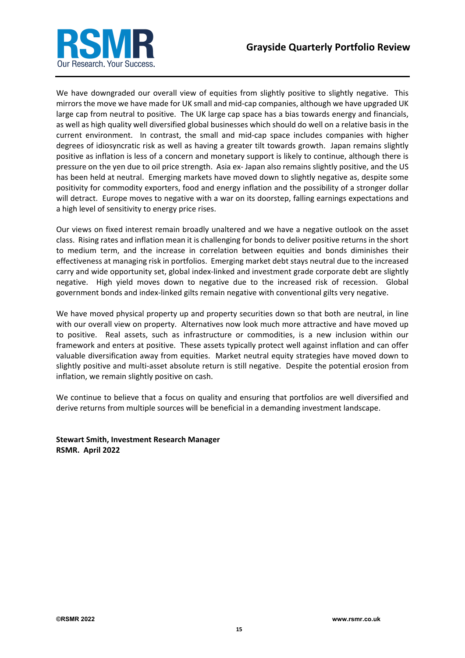

We have downgraded our overall view of equities from slightly positive to slightly negative. This mirrors the move we have made for UK small and mid-cap companies, although we have upgraded UK large cap from neutral to positive. The UK large cap space has a bias towards energy and financials, as well as high quality well diversified global businesses which should do well on a relative basis in the current environment. In contrast, the small and mid-cap space includes companies with higher degrees of idiosyncratic risk as well as having a greater tilt towards growth. Japan remains slightly positive as inflation is less of a concern and monetary support is likely to continue, although there is pressure on the yen due to oil price strength. Asia ex- Japan also remains slightly positive, and the US has been held at neutral. Emerging markets have moved down to slightly negative as, despite some positivity for commodity exporters, food and energy inflation and the possibility of a stronger dollar will detract. Europe moves to negative with a war on its doorstep, falling earnings expectations and a high level of sensitivity to energy price rises.

Our views on fixed interest remain broadly unaltered and we have a negative outlook on the asset class. Rising rates and inflation mean it is challenging for bonds to deliver positive returns in the short to medium term, and the increase in correlation between equities and bonds diminishes their effectiveness at managing risk in portfolios. Emerging market debt stays neutral due to the increased carry and wide opportunity set, global index-linked and investment grade corporate debt are slightly negative. High yield moves down to negative due to the increased risk of recession. Global government bonds and index-linked gilts remain negative with conventional gilts very negative.

We have moved physical property up and property securities down so that both are neutral, in line with our overall view on property. Alternatives now look much more attractive and have moved up to positive. Real assets, such as infrastructure or commodities, is a new inclusion within our framework and enters at positive. These assets typically protect well against inflation and can offer valuable diversification away from equities. Market neutral equity strategies have moved down to slightly positive and multi-asset absolute return is still negative. Despite the potential erosion from inflation, we remain slightly positive on cash.

We continue to believe that a focus on quality and ensuring that portfolios are well diversified and derive returns from multiple sources will be beneficial in a demanding investment landscape.

**Stewart Smith, Investment Research Manager RSMR. April 2022**